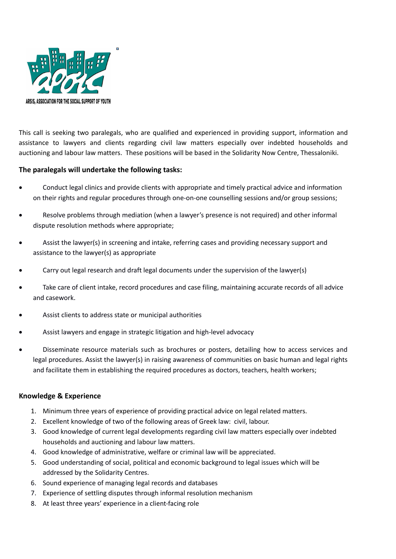

This call is seeking two paralegals, who are qualified and experienced in providing support, information and assistance to lawyers and clients regarding civil law matters especially over indebted households and auctioning and labour law matters. These positions will be based in the Solidarity Now Centre, Thessaloniki.

## **The paralegals will undertake the following tasks:**

- Conduct legal clinics and provide clients with appropriate and timely practical advice and information on their rights and regular procedures through one‐on‐one counselling sessions and/or group sessions;
- Resolve problems through mediation (when a lawyer's presence is not required) and other informal dispute resolution methods where appropriate;
- Assist the lawyer(s) in screening and intake, referring cases and providing necessary support and assistance to the lawyer(s) as appropriate
- Carry out legal research and draft legal documents under the supervision of the lawyer(s)
- Take care of client intake, record procedures and case filing, maintaining accurate records of all advice and casework.
- Assist clients to address state or municipal authorities
- Assist lawyers and engage in strategic litigation and high‐level advocacy
- Disseminate resource materials such as brochures or posters, detailing how to access services and legal procedures. Assist the lawyer(s) in raising awareness of communities on basic human and legal rights and facilitate them in establishing the required procedures as doctors, teachers, health workers;

## **Knowledge & Experience**

- 1. Minimum three years of experience of providing practical advice on legal related matters.
- 2. Excellent knowledge of two of the following areas of Greek law: civil, labour.
- 3. Good knowledge of current legal developments regarding civil law matters especially over indebted households and auctioning and labour law matters.
- 4. Good knowledge of administrative, welfare or criminal law will be appreciated.
- 5. Good understanding of social, political and economic background to legal issues which will be addressed by the Solidarity Centres.
- 6. Sound experience of managing legal records and databases
- 7. Experience of settling disputes through informal resolution mechanism
- 8. At least three years' experience in a client‐facing role